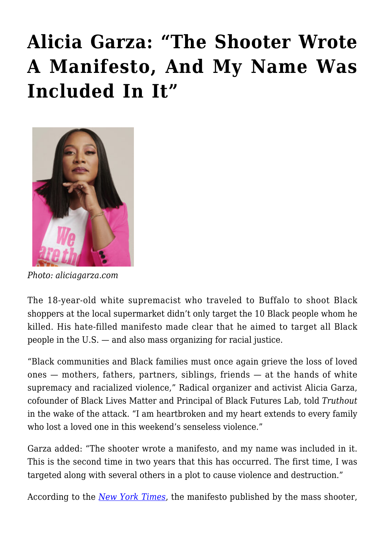## **[Alicia Garza: "The Shooter Wrote](https://rozenbergquarterly.com/alicia-garza-the-shooter-wrote-a-manifesto-and-my-name-was-included-in-it/) [A Manifesto, And My Name Was](https://rozenbergquarterly.com/alicia-garza-the-shooter-wrote-a-manifesto-and-my-name-was-included-in-it/) [Included In It"](https://rozenbergquarterly.com/alicia-garza-the-shooter-wrote-a-manifesto-and-my-name-was-included-in-it/)**



*Photo: aliciagarza.com*

The 18-year-old white supremacist who traveled to Buffalo to shoot Black shoppers at the local supermarket didn't only target the 10 Black people whom he killed. His hate-filled manifesto made clear that he aimed to target all Black people in the U.S. — and also mass organizing for racial justice.

"Black communities and Black families must once again grieve the loss of loved ones — mothers, fathers, partners, siblings, friends — at the hands of white supremacy and racialized violence," Radical organizer and activist Alicia Garza, cofounder of Black Lives Matter and Principal of Black Futures Lab, told *Truthout* in the wake of the attack*.* "I am heartbroken and my heart extends to every family who lost a loved one in this weekend's senseless violence."

Garza added: "The shooter wrote a manifesto, and my name was included in it. This is the second time in two years that this has occurred. The first time, I was targeted along with several others in a plot to cause violence and destruction."

According to the *[New York Times](https://www.nytimes.com/live/2022/05/14/nyregion/buffalo-shooting)*, the manifesto published by the mass shooter,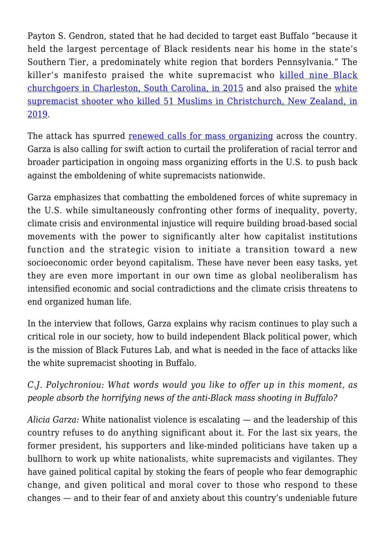Payton S. Gendron, stated that he had decided to target east Buffalo "because it held the largest percentage of Black residents near his home in the state's Southern Tier, a predominately white region that borders Pennsylvania." The killer's manifesto praised the white supremacist who [killed nine Black](https://truthout.org/articles/we-were-never-meant-to-survive-a-response-to-the-attack-in-charleston/) [churchgoers in Charleston, South Carolina, in 2015](https://truthout.org/articles/we-were-never-meant-to-survive-a-response-to-the-attack-in-charleston/) and also praised the [white](https://truthout.org/articles/settler-colonialism-lurked-beneath-the-christchurch-massacre/) [supremacist shooter who killed 51 Muslims in Christchurch, New Zealand, in](https://truthout.org/articles/settler-colonialism-lurked-beneath-the-christchurch-massacre/) [2019](https://truthout.org/articles/settler-colonialism-lurked-beneath-the-christchurch-massacre/).

The attack has spurred [renewed calls for mass organizing](https://truthout.org/articles/racist-attack-in-buffalo-was-crafted-to-terrorize-us-heres-how-we-fight-back/) across the country. Garza is also calling for swift action to curtail the proliferation of racial terror and broader participation in ongoing mass organizing efforts in the U.S. to push back against the emboldening of white supremacists nationwide.

Garza emphasizes that combatting the emboldened forces of white supremacy in the U.S. while simultaneously confronting other forms of inequality, poverty, climate crisis and environmental injustice will require building broad-based social movements with the power to significantly alter how capitalist institutions function and the strategic vision to initiate a transition toward a new socioeconomic order beyond capitalism. These have never been easy tasks, yet they are even more important in our own time as global neoliberalism has intensified economic and social contradictions and the climate crisis threatens to end organized human life.

In the interview that follows, Garza explains why racism continues to play such a critical role in our society, how to build independent Black political power, which is the mission of Black Futures Lab, and what is needed in the face of attacks like the white supremacist shooting in Buffalo.

## *C.J. Polychroniou: What words would you like to offer up in this moment, as people absorb the horrifying news of the anti-Black mass shooting in Buffalo?*

*Alicia Garza:* White nationalist violence is escalating — and the leadership of this country refuses to do anything significant about it. For the last six years, the former president, his supporters and like-minded politicians have taken up a bullhorn to work up white nationalists, white supremacists and vigilantes. They have gained political capital by stoking the fears of people who fear demographic change, and given political and moral cover to those who respond to these changes — and to their fear of and anxiety about this country's undeniable future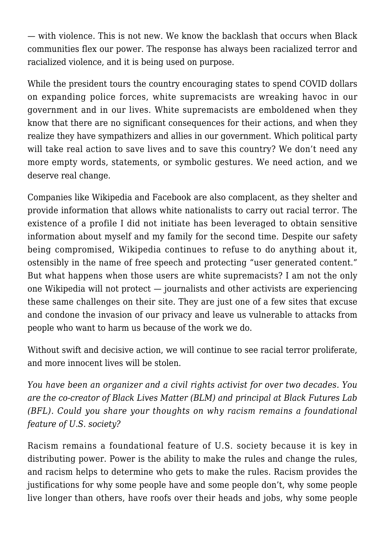— with violence. This is not new. We know the backlash that occurs when Black communities flex our power. The response has always been racialized terror and racialized violence, and it is being used on purpose.

While the president tours the country encouraging states to spend COVID dollars on expanding police forces, white supremacists are wreaking havoc in our government and in our lives. White supremacists are emboldened when they know that there are no significant consequences for their actions, and when they realize they have sympathizers and allies in our government. Which political party will take real action to save lives and to save this country? We don't need any more empty words, statements, or symbolic gestures. We need action, and we deserve real change.

Companies like Wikipedia and Facebook are also complacent, as they shelter and provide information that allows white nationalists to carry out racial terror. The existence of a profile I did not initiate has been leveraged to obtain sensitive information about myself and my family for the second time. Despite our safety being compromised, Wikipedia continues to refuse to do anything about it, ostensibly in the name of free speech and protecting "user generated content." But what happens when those users are white supremacists? I am not the only one Wikipedia will not protect — journalists and other activists are experiencing these same challenges on their site. They are just one of a few sites that excuse and condone the invasion of our privacy and leave us vulnerable to attacks from people who want to harm us because of the work we do.

Without swift and decisive action, we will continue to see racial terror proliferate, and more innocent lives will be stolen.

*You have been an organizer and a civil rights activist for over two decades. You are the co-creator of Black Lives Matter (BLM) and principal at Black Futures Lab (BFL). Could you share your thoughts on why racism remains a foundational feature of U.S. society?*

Racism remains a foundational feature of U.S. society because it is key in distributing power. Power is the ability to make the rules and change the rules, and racism helps to determine who gets to make the rules. Racism provides the justifications for why some people have and some people don't, why some people live longer than others, have roofs over their heads and jobs, why some people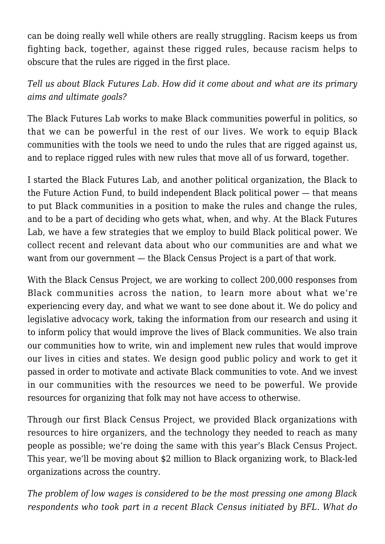can be doing really well while others are really struggling. Racism keeps us from fighting back, together, against these rigged rules, because racism helps to obscure that the rules are rigged in the first place.

*Tell us about Black Futures Lab. How did it come about and what are its primary aims and ultimate goals?*

The Black Futures Lab works to make Black communities powerful in politics, so that we can be powerful in the rest of our lives. We work to equip Black communities with the tools we need to undo the rules that are rigged against us, and to replace rigged rules with new rules that move all of us forward, together.

I started the Black Futures Lab, and another political organization, the Black to the Future Action Fund, to build independent Black political power — that means to put Black communities in a position to make the rules and change the rules, and to be a part of deciding who gets what, when, and why. At the Black Futures Lab, we have a few strategies that we employ to build Black political power. We collect recent and relevant data about who our communities are and what we want from our government — the Black Census Project is a part of that work.

With the Black Census Project, we are working to collect 200,000 responses from Black communities across the nation, to learn more about what we're experiencing every day, and what we want to see done about it. We do policy and legislative advocacy work, taking the information from our research and using it to inform policy that would improve the lives of Black communities. We also train our communities how to write, win and implement new rules that would improve our lives in cities and states. We design good public policy and work to get it passed in order to motivate and activate Black communities to vote. And we invest in our communities with the resources we need to be powerful. We provide resources for organizing that folk may not have access to otherwise.

Through our first Black Census Project, we provided Black organizations with resources to hire organizers, and the technology they needed to reach as many people as possible; we're doing the same with this year's Black Census Project. This year, we'll be moving about \$2 million to Black organizing work, to Black-led organizations across the country.

*The problem of low wages is considered to be the most pressing one among Black respondents who took part in a recent Black Census initiated by BFL. What do*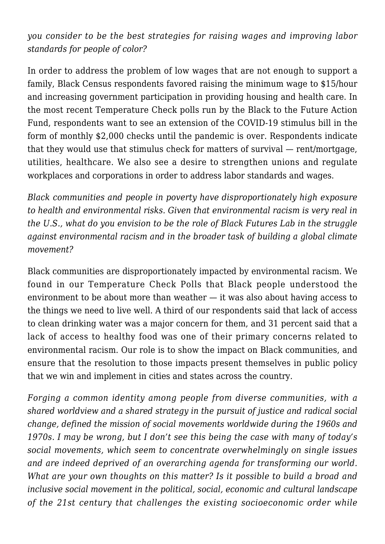*you consider to be the best strategies for raising wages and improving labor standards for people of color?*

In order to address the problem of low wages that are not enough to support a family, Black Census respondents favored raising the minimum wage to \$15/hour and increasing government participation in providing housing and health care. In the most recent Temperature Check polls run by the Black to the Future Action Fund, respondents want to see an extension of the COVID-19 stimulus bill in the form of monthly \$2,000 checks until the pandemic is over. Respondents indicate that they would use that stimulus check for matters of survival — rent/mortgage, utilities, healthcare. We also see a desire to strengthen unions and regulate workplaces and corporations in order to address labor standards and wages.

*Black communities and people in poverty have disproportionately high exposure to health and environmental risks. Given that environmental racism is very real in the U.S., what do you envision to be the role of Black Futures Lab in the struggle against environmental racism and in the broader task of building a global climate movement?*

Black communities are disproportionately impacted by environmental racism. We found in our Temperature Check Polls that Black people understood the environment to be about more than weather — it was also about having access to the things we need to live well. A third of our respondents said that lack of access to clean drinking water was a major concern for them, and 31 percent said that a lack of access to healthy food was one of their primary concerns related to environmental racism. Our role is to show the impact on Black communities, and ensure that the resolution to those impacts present themselves in public policy that we win and implement in cities and states across the country.

*Forging a common identity among people from diverse communities, with a shared worldview and a shared strategy in the pursuit of justice and radical social change, defined the mission of social movements worldwide during the 1960s and 1970s. I may be wrong, but I don't see this being the case with many of today's social movements, which seem to concentrate overwhelmingly on single issues and are indeed deprived of an overarching agenda for transforming our world. What are your own thoughts on this matter? Is it possible to build a broad and inclusive social movement in the political, social, economic and cultural landscape of the 21st century that challenges the existing socioeconomic order while*